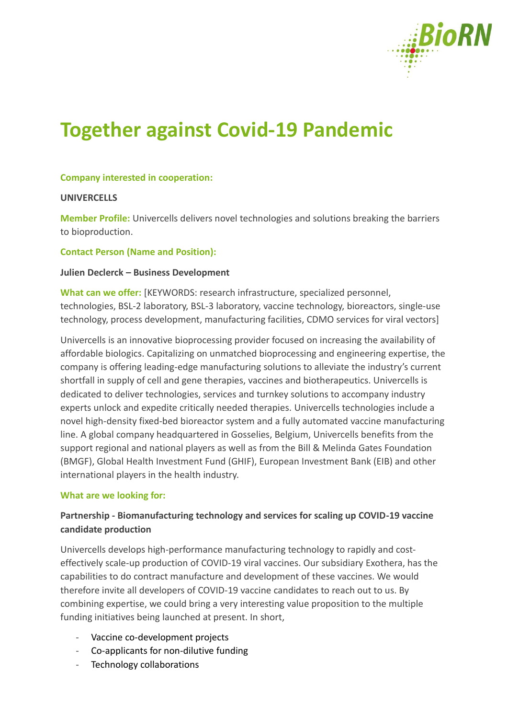

# **Together against Covid-19 Pandemic**

### **Company interested in cooperation:**

#### **UNIVERCELLS**

**Member Profile:** Univercells delivers novel technologies and solutions breaking the barriers to bioproduction.

#### **Contact Person (Name and Position):**

#### **Julien Declerck – Business Development**

**What can we offer:** [KEYWORDS: research infrastructure, specialized personnel, technologies, BSL-2 laboratory, BSL-3 laboratory, vaccine technology, bioreactors, single-use technology, process development, manufacturing facilities, CDMO services for viral vectors]

Univercells is an innovative bioprocessing provider focused on increasing the availability of affordable biologics. Capitalizing on unmatched bioprocessing and engineering expertise, the company is offering leading-edge manufacturing solutions to alleviate the industry's current shortfall in supply of cell and gene therapies, vaccines and biotherapeutics. Univercells is dedicated to deliver technologies, services and turnkey solutions to accompany industry experts unlock and expedite critically needed therapies. Univercells technologies include a novel high-density fixed-bed bioreactor system and a fully automated vaccine manufacturing line. A global company headquartered in Gosselies, Belgium, Univercells benefits from the support regional and national players as well as from the Bill & Melinda Gates Foundation (BMGF), Global Health Investment Fund (GHIF), European Investment Bank (EIB) and other international players in the health industry.

#### **What are we looking for:**

## **Partnership - Biomanufacturing technology and services for scaling up COVID-19 vaccine candidate production**

Univercells develops high-performance manufacturing technology to rapidly and costeffectively scale-up production of COVID-19 viral vaccines. Our subsidiary Exothera, has the capabilities to do contract manufacture and development of these vaccines. We would therefore invite all developers of COVID-19 vaccine candidates to reach out to us. By combining expertise, we could bring a very interesting value proposition to the multiple funding initiatives being launched at present. In short,

- Vaccine co-development projects
- Co-applicants for non-dilutive funding
- Technology collaborations